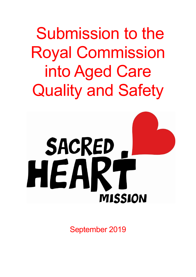Submission to the Royal Commission into Aged Care Quality and Safety



September 2019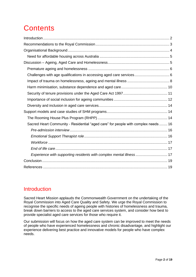# **Contents**

| Challenges with age qualifications in accessing aged care services 6               |  |
|------------------------------------------------------------------------------------|--|
|                                                                                    |  |
|                                                                                    |  |
|                                                                                    |  |
|                                                                                    |  |
|                                                                                    |  |
|                                                                                    |  |
|                                                                                    |  |
| Sacred Heart Community - Residential "aged care" for people with complex needs  16 |  |
|                                                                                    |  |
|                                                                                    |  |
|                                                                                    |  |
|                                                                                    |  |
| Experience with supporting residents with complex mental illness 17                |  |
|                                                                                    |  |
|                                                                                    |  |

# <span id="page-1-0"></span>**Introduction**

Sacred Heart Mission applauds the Commonwealth Government on the undertaking of the Royal Commission into Aged Care Quality and Safety. We urge the Royal Commission to recognise the specific needs of ageing people with histories of homelessness and trauma, break down barriers to access to the aged care services system, and consider how best to provide specialist aged care services for those who require it.

Our submission will focus on how the aged care system can be improved to meet the needs of people who have experienced homelessness and chronic disadvantage, and highlight our experience delivering best practice and innovative models for people who have complex needs.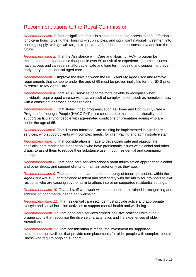# <span id="page-2-0"></span>Recommendations to the Royal Commission

*Recommendation 1:* That a significant focus is placed on ensuring access to safe, affordable long-term housing using the Housing First principles, and significant national investment into housing supply, with growth targets to prevent and reduce homelessness now and into the future.

*Recommendation 2:* That the Assistance with Care and Housing (ACH) program be maintained and expanded so that people over 50 at risk of or experiencing homelessness have access and can sustain affordable, safe and long term-housing and support, to prevent early entry into residential aged care.

*Recommendation 3:* Improve the links between the NDIS and My Aged Care and remove requirements that someone under the age of 65 must be proven ineligible for the NDIS prior to referral to My Aged Care.

*Recommendation 4:* That ACAS services become more flexible to recognise when individuals require aged care services as a result of complex factors such as homelessness, with a consistent approach across regions.

*Recommendation 5:* That state-funded programs, such as Home and Community Care – Program for Younger People (HACC PYP), are continued to maintain functionality and support particularly for people with age-related conditions or premature ageing who are under the age of 65.

*Recommendation 6:* That Trauma-Informed Care training be implemented in aged care services, who support clients with complex needs, for client-facing and administrative staff.

*Recommendation 7:* That consideration is made to developing safe and appropriate specialist care models for older people who have problematic issues with alcohol and other drugs, to assist them to reduce their substance use, in both residential and community settings.

*Recommendation 8:* That aged care services adopt a harm minimisation approach to alcohol and other drugs, and support clients to maintain autonomy as they age.

*Recommendation 9:* That amendments are made to security of tenure provisions within the *Aged Care Act 1997* that balance resident and staff safety with the ability for providers to exit residents who are causing severe harm to others into other supported residential settings.

*Recommendation 10:* That all staff who work with older people are trained in recognising and addressing poor mental health and wellbeing.

*Recommendation 11*: That residential care settings must provide active and appropriate lifestyle and social inclusion activities to support mental health and wellbeing.

*Recommendation 12*: That aged care services embed inclusive practices within their organisations that recognise the diverse characteristics and life experiences of older Australians.

*Recommendation 13:* That consideration is made into investment for supported accommodation facilities that provide care placements for older people with complex mental illness who require ongoing support.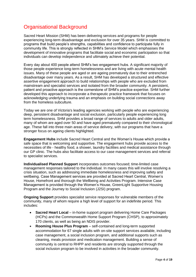# <span id="page-3-0"></span>Organisational Background

Sacred Heart Mission (SHM) has been delivering services and programs for people experiencing long-term disadvantage and exclusion for over 35 years. SHM is committed to programs that build people's strengths, capabilities and confidence to participate fully in community life. This is strongly reflected in SHM's Service Model which emphasises the development of innovative programs that facilitate social and economic participation so that individuals can develop independence and ultimately achieve their potential.

Every day about 400 people attend SHM's two engagement hubs. A significant majority of those people experience long-term homelessness and are living with acute mental health issues. Many of these people are aged or are ageing prematurely due to their entrenched disadvantage over many years. As a result, SHM has developed a structured and effective assertive engagement approach to build relationships with people who are excluded from mainstream and specialist services and isolated from the broader community. A persistent, patient and proactive approach is the cornerstone of SHM's practice expertise. SHM further developed this approach to incorporate a therapeutic practice framework that focuses on acknowledging underlying trauma and an emphasis on building social connections away from the homeless subculture.

Today we are one of Victoria's leading agencies working with people who are experiencing deep, persistent disadvantage and social exclusion, particularly people experiencing long term homelessness. SHM provides a broad range of services to adults and older adults, many of whom are aged over 50 and have aged prematurely compared to their chronological age. These fall into three main areas of service delivery, with our programs that have a stronger focus on ageing clients highlighted.

**Engagement Hubs** include Sacred Heart Central and the Women's House which provide a safe space that is welcoming and supportive. The engagement hubs provide access to the necessities of life - healthy food, a shower, laundry facilities and medical assistance through our GP clinic. The hubs also facilitate access to our case management services and referral to specialist services.

**Individualised Planned Support** incorporates outcomes focused; time-limited case management responses tailored to the individual. In many cases this will involve resolving a crisis situation, such as addressing immediate homelessness and improving safety and wellbeing. Case Management services are provided at Sacred Heart Central, Women's House, Homefront and thorough the Wellbeing and Activities Program. Intensive Case Management is provided through the Women's House, GreenLight Supportive Housing Program and the Journey to Social Inclusion (J2SI) program.

**Ongoing Support** provides specialist service responses for vulnerable members of the community, many of whom require a high level of support for an indefinite period. This includes:

- **Sacred Heart Local** in-home support program delivering Home Care Packages (HCPs) and the Commonwealth Home Support Program (CHSP), to approximately 170 clients, as well as being an NDIS provider.
- **Rooming House Plus Program** self-contained and long-term supported accommodation for 67 single adults with on-site support services available, including case management, a social inclusion program, and additional supports such as cleaning, meals provision and medication management. Building a sense of community is central to RHPP and residents are strongly supported through the social inclusion program to be involved in activities in the broader community.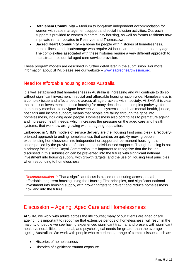- **Bethlehem Community** Medium to long-term independent accommodation for women with case management support and social inclusion activities. Outreach support is provided to women in community housing, as well as former residents now in private rental. Located in Reservoir and Thomastown.
- **Sacred Heart Community** a home for people with histories of homelessness, mental illness and disadvantage who require 24-hour care and support as they age. The complexities associated with these histories require a very different approach to mainstream residential aged care service provision.

These program models are described in further detail later in the submission. For more information about SHM, please see our website – [www.sacredheartmission.org.](http://www.sacredheartmission.org/)

## <span id="page-4-0"></span>Need for affordable housing across Australia

It is well established that homelessness in Australia is increasing and will continue to do so without significant investment in social and affordable housing nation-wide. Homelessness is a complex issue and affects people across all age brackets within society. At SHM, it is clear that a lack of investment in public housing for many decades, and complex pathways for community members to navigate between various systems – such as mental health, justice, hospitals and income support, means that people are falling through the gaps into homelessness, including aged people. Homelessness also contributes to premature ageing and increased health needs, which increases the pressure on the aged care and health systems, that we know are growing with an ageing population.

Embedded in SHM's models of service delivery are the Housing First principles - a recoveryoriented approach to ending homelessness that centres on quickly moving people experiencing homelessness into independent or supported, permanent housing. It is accompanied by the provision of tailored and individualised supports. Though housing is not a primary focus of the Royal Commission, it is important to recognise that the issues discussed in this submission can be prevented into the future with significant national investment into housing supply, with growth targets, and the use of Housing First principles when responding to homelessness.

*Recommendation 1:* That a significant focus is placed on ensuring access to safe, affordable long-term housing using the Housing First principles, and significant national investment into housing supply, with growth targets to prevent and reduce homelessness now and into the future.

# <span id="page-4-1"></span>Discussion – Ageing, Aged Care and Homelessness

At SHM, we work with adults across the life course; many of our clients are aged or are ageing. It is important to recognise that extensive periods of homelessness, will result in the majority of people we see having experienced significant trauma, and present with significant health vulnerabilities, emotional, and psychological needs far greater than the average ageing Australian. We work with people who experience a range of complex issues such as:

- Histories of homelessness
- Histories of significant trauma exposure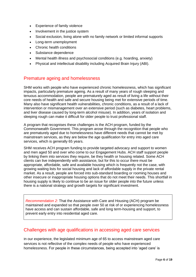- Experience of family violence
- Involvement in the justice system
- Social exclusion, living alone with no family network or limited informal supports
- Long-term unemployment
- Chronic health conditions
- Substance dependence
- Mental health illness and psychosocial conditions (e.g. hoarding, anxiety)
- Physical and intellectual disability including Acquired Brain Injury (ABI).

### <span id="page-5-0"></span>Premature ageing and homelessness

SHM works with people who have experienced chronic homelessness, which has significant impacts, particularly premature ageing. As a result of many years of rough sleeping and tenuous accommodation, people are prematurely aged as result of living a life without their core needs of health and safe and secure housing being met for extensive periods of time. Many also have significant health vulnerabilities, chronic conditions, as a result of a lack of intervention or mismanagement over an extensive period (such as diabetes, heart problems, and liver disease caused by long-term alcohol misuse). In addition, years of isolation and sleeping rough can make it difficult for older people to trust professional staff.

A program that recognises these challenges is the ACH program, funded by the Commonwealth Government. This program arose through the recognition that people who are prematurely aged due to homelessness have different needs that cannot be met by mainstream services, as they are below the age qualification for entry into aged care services, which is generally 65 years.

SHM receives ACH program funding to provide targeted advocacy and support to women and men aged 50 and over who come to our Engagement Hubs. ACH staff support people by linking them into services they require, be they health or housing related. Some ACH clients can live independently with assistance, but for this to occur there must be appropriate, affordable, safe and available housing which is frequently not the case, with growing waiting lists for social housing and lack of affordable supply in the private rental market. As a result, people are forced into sub-standard boarding or rooming houses and other insecure or inappropriate housing options that do not meet their needs. This shortfall in housing supply is likely to continue to be an issue for older people into the future unless there is a national strategy and growth targets for significant investment.

*Recommendation 2:* That the Assistance with Care and Housing (ACH) program be maintained and expanded so that people over 50 at risk of or experiencing homelessness have access and can sustain affordable, safe and long term-housing and support, to prevent early entry into residential aged care.

### <span id="page-5-1"></span>Challenges with age qualifications in accessing aged care services

In our experience, the legislated minimum age of 65 to access mainstream aged care services is not reflective of the complex needs of people who have experienced homelessness. For people in these circumstances, being accepted into 'aged care' is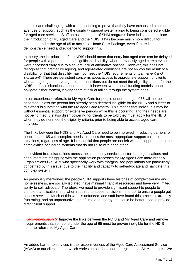complex and challenging, with clients needing to prove that they have exhausted all other avenues of support (such as the disability support system) prior to being considered eligible for aged care services. Staff across a number of SHM programs have indicated that since the introduction of My Aged Care and the NDIS, it has become much more difficult for someone under the age of 65 to access a Home Care Package, even if there is demonstrable need and evidence to support this.

In theory, the introduction of the NDIS should mean that entry into aged care can be delayed for people with a permanent and significant disability, where previously aged care services were accessed early due to a severe lack of alternative options. However, this does not recognise that premature ageing, and age-related conditions are not always the result of a disability, or that that disability may not meet the NDIS requirements of '*permanent and significant'*. There are persistent concerns about access to appropriate support for clients who are ageing and have age related conditions but do not meet the eligibility criteria for the NDIS. In these situations, people are stuck between two national funding models, unable to navigate either system, leaving them at risk of falling through the system gaps.

In our experience, referrals to My Aged Care for people under the age of 65 will not be accepted unless the person has already been deemed ineligible for the NDIS and a letter to this effect is submitted with the My Aged Care referral. This means that individuals may be without essential support for extensive periods while this is occurring, and their needs are not being met. It is also disempowering for clients to be told they must apply for the NDIS when they do not meet the eligibility criteria, prior to being able to access aged care services.

The links between the NDIS and My Aged Care need to be improved in reducing barriers for people under 65 with complex needs to access the most appropriate support for their situations, regardless of age. It is essential that people are not left without support due to the complexities of funding systems that do not liaise with each other.

It is evident from discussions across the community services sector that organisations and consumers are struggling with the application processes for My Aged Care more broadly. Organisations like SHM who specifically work with marginalised populations are particularly concerned by this issue, due to the inability and capacity to self-advocate and navigate this complex system.

As previously mentioned, the people SHM supports have histories of complex trauma and homelessness, are socially isolated, have minimal financial resources and have very limited ability to self-advocate. Therefore, we need to provide significant support to people to complete applications and when required to appeal decisions in order to ensure people get access services. Much of this work is unfunded, and staff have found this process extremely frustrating, and an unproductive use of time and energy that could be better used to provide direct client support.

*Recommendation 3:* Improve the links between the NDIS and My Aged Care and remove requirements that someone under the age of 65 must be proven ineligible for the NDIS prior to referral to My Aged Care.

An added barrier to services is the responsiveness of the Aged Care Assessment Service (ACAS) to our client cohort, which varies across the different regions that SHM operates. We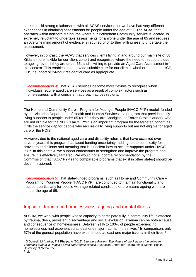seek to build strong relationships with all ACAS services, but we have had very different experiences in obtaining assessments for people under the age of 65. The ACAS that operates within northern Melbourne where our Bethlehem Community service is located, is extremely reluctant to undertake assessments for anyone under the age of 65 and requires an overwhelming amount of evidence is required prior to their willingness to undertake the assessment.

However, in contrast, the ACAS that services clients living in and around our main site of St Kilda is more flexible for our client cohort and recognises where the need for support is due to ageing, even if they are under 65, and is willing to provide an Aged Care Assessment in this context. This enables us to provide suitable care for our clients, whether that be an HCP, CHSP support or 24-hour residential care as appropriate.

*Recommendation 4:* That ACAS services become more flexible to recognise when individuals require aged care services as a result of complex factors such as homelessness, with a consistent approach across regions.

The Home and Community Care – Program for Younger People (HACC PYP) model, funded by the Victorian Department of Health and Human Services is a program that provides daily living supports to people under 65 (or 50 if they are Aboriginal or Torres Strait Islander), who are not eligible for the NDIS. HACC PYP is an important program for the targeted cohort, as it fills the service gap for people who require daily living supports but are not eligible for aged care or the NDIS.

However, due to the national aged care and disability reforms that have occurred over several years, this program has faced funding uncertainty, adding to the complexity for providers and clients and meaning that it is unclear how to access supports under HACC PYP. In this context, we support endeavours to strengthen and improve the program and ensure it is effectively targeted. We would not support a recommendation by the Commission that HACC PYP (and comparable programs that exist in other states) should be decommissioned.

*Recommendation 5:* That state-funded programs, such as Home and Community Care – Program for Younger People (HACC PYP), are continued to maintain functionality and support particularly for people with age-related conditions or premature ageing who are under the age of 65.

### <span id="page-7-0"></span>Impact of trauma on homelessness, ageing and mental illness

At SHM, we work with people whose capacity to participate fully in community life is affected by trauma, deep, persistent disadvantage and social exclusion. Trauma can be both a cause and consequence of homelessness. Between 91% to 100% of people experiencing homelessness had experienced at least one major trauma in their lives.<sup>1</sup> In comparison, only 57% of the general population have experienced at least one major trauma in their lives.<sup>2</sup>

<sup>1</sup> O'Donnell, M, Varker, T & Phelps, A (2012). *Literature Review: The Nature of the Relationship between Traumatic Events in People's Lives and Homelessness*. Australian Centre for Posttraumatic Mental Health, University of Melbourne.

<sup>2</sup> Ibid.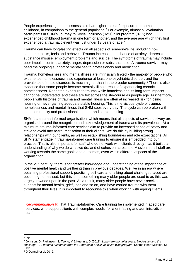People experiencing homelessness also had higher rates of exposure to trauma in childhood, in comparison to the general population.<sup>3</sup> For example, almost all evaluation participants in SHM's Journey to Social Inclusion (J2SI) pilot program (87%) had experienced childhood trauma in one form or another, and the average age which they first experienced a traumatic event was just under 13 years of age.<sup>4</sup>

Trauma can have long-lasting effects on all aspects of someone's life, including how someone thinks, feels and behaves. Trauma increases the chance of anxiety, depression, substance misuse, employment problems and suicide. The symptoms of trauma may include poor impulse control, anxiety, anger, depression or substance use. A trauma survivor may need the ongoing support of mental health professionals and medication.

Trauma, homelessness and mental illness are intrinsically linked - the majority of people who experience homelessness also experience at least one psychiatric disorder, and the prevalence of these disorders is much higher than in the broader community.<sup>5</sup> There is also evidence that some people become mentally ill as a result of experiencing chronic homelessness. Repeated exposure to trauma while homeless and its long-term impacts cannot be understated, and these are felt across the life-course as people age. Furthermore, people with histories of trauma and mental illness are often at increased risk for losing housing or never gaining adequate stable housing. This is the vicious cycle of trauma, homelessness and mental illness that SHM sees every day. The cycle can be broken with time, community and professional support, and stable housing.

SHM is a trauma-informed organisation, which means that all aspects of service delivery are organised around the recognition and acknowledgement of trauma and its prevalence. At a minimum, trauma-informed care services aim to provide an increased sense of safety and strive to avoid any re-traumatisation of their clients. We do this by building strong relationships with our clients, as well as establishing boundaries and role expectations. All SHM staff engage in trauma-informed care training to ensure it is embedded into our practice. This is also important for staff who do not work with clients directly – as it builds an understanding of why we do what we do, and of cohesion across the Mission, so all staff are working towards the same goals and outcomes, even within different aspects of the organisation.

In the 21<sup>st</sup> century, there is far greater knowledge and understanding of the importance of positive mental health and wellbeing than in previous decades. We live in an era where obtaining professional support, practicing self-care and talking about challenges faced are becoming normalised, but this is not something many older people are used to as this was largely frowned upon in the past. As a result, many older people have never received support for mental health, grief, loss and so on, and have carried trauma with them throughout their lives. It is important to recognise this when working with ageing clients.

*Recommendation 6:* That Trauma-Informed Care training be implemented in aged care services, who support clients with complex needs, for client-facing and administrative staff.

<sup>3</sup> Ibid.

<sup>4</sup> Johnson, G, Parkinson, S, Tseng, Y & Kuehnle, D (2011), *Long-term homelessness: Understanding the challenge - 12 months outcomes from the Journey to Social Inclusion pilot program*. Sacred Heart Mission, St Kilda.

<sup>5</sup> O'Donnell et al. 2012.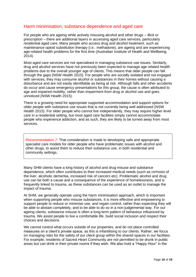### <span id="page-9-0"></span>Harm minimisation, substance dependence and aged care

For people who are ageing while actively misusing alcohol and other drugs – illicit or prescription – there are additional layers in accessing aged care services, particularly residential aged care. Many people who access drug and alcohol treatment, such as maintenance opioid substitution therapy (i.e.: methadone), are ageing and are experiencing age-related health problems for the first time (Australian Institute of Health and Wellbeing, 2014).

Most aged care services are not specialised in managing substance use issues. Similarly, drug and alcohol services have not previously been expected to manage age related health problems due to the overall younger age of clients. This means that older people can fall through the gaps (NSW Health 2015). For people who are socially isolated and not engaged with services, they may consume alcohol or substances in their homes without causing a disturbance and are not easily identifiable as being at risk. Although falls and other accidents do occur and cause emergency presentations for this group, the cause is often attributed to age and impaired mobility, rather than impairment from drug or alcohol use and goes unnoticed (NSW Health 2015).

There is a growing need for appropriate supported accommodation and support options for older people with substance use issues that is not currently being well addressed (NSW Health 2015). For older people who cannot live independently, they may require higher level care in a residential setting, but most aged care facilities simply cannot accommodate people who experience addiction, and as such, they are likely to be turned away from most services.

*Recommendation 7:* That consideration is made to developing safe and appropriate specialist care models for older people who have problematic issues with alcohol and other drugs, to assist them to reduce their substance use, in both residential and community settings.

Many SHM clients have a long history of alcohol and drug misuse and substance dependence, which often contributes to their increased medical needs (such as cirrhosis of the liver, alcoholic dementia, increased risk of cancers etc). Problematic alcohol and drug use can be both a cause and a consequence of the experience of homelessness, and is frequently linked to trauma, as these substances can be used as an outlet to manage the impact of trauma.

At SHM, we generally operate using the harm minimisation approach, which is important when supporting people who misuse substances. It is more effective and empowering to support people to reduce or minimise use, and regain control, rather than expecting they will be able to abstain completely, and to be able to do so in a non-judgemental way. For our ageing clients, substance misuse is often a long-term pattern of behaviour influenced by trauma. We assist people to live a comfortable life, build social inclusion and respect their choices and decisions.

We cannot control what occurs outside of our properties, and do not place controlled measures on a client's private space, as this is infantilising to our clients. Rather, we focus on managing risks for the safety of our client group within the shared spaces in our facilities. For example, residents of Sacred Heart Community are not permitted to be drunk in public areas but can drink in their private rooms if they wish. We also hold a "Happy Hour" in the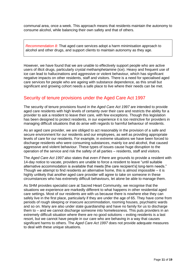communal area, once a week. This approach means that residents maintain the autonomy to consume alcohol, while balancing their own safety and that of others.

*Recommendation 8:* That aged care services adopt a harm minimisation approach to alcohol and other drugs, and support clients to maintain autonomy as they age.

However, we have found that we are unable to effectively support people who are active users of illicit drugs, particularly crystal methamphetamine (ice). Heavy and frequent use of ice can lead to hallucinations and aggressive or violent behaviour, which has significant negative impacts on other residents, staff and visitors. There is a need for specialised aged care services for people who are ageing with substance dependence, as this small but significant and growing cohort needs a safe place to live where their needs can be met.

### <span id="page-10-0"></span>Security of tenure provisions under the Aged Care Act 1997

The security of tenure provisions found in the *Aged Care Act 1997* are intended to provide aged care residents with high levels of certainty over their care and restricts the ability for a provider to ask a resident to leave their care, with few exceptions. Though this legislation has been designed to protect residents, in our experience it is too restrictive for providers in managing difficult situations that do arise with regards to harmful behaviour of residents.

As an aged care provider, we are obliged to act reasonably in the provision of a safe and secure environment for our residents and our employees, as well as providing appropriate levels of care for our residents. For example, in extreme situations we have been forced to discharge residents who were consuming substances, mainly ice and alcohol, that caused aggressive and violent behaviour. These types of issues cause huge disruption to the operation of the service and risk the safety of all parties – residents, staff and visitors.

The *Aged Care Act 1997* also states that *even if* there are grounds to provide a resident with 14-day notice to vacate, providers are unable to force a resident to leave "until suitable alternative accommodation is available that meets [the care recipient's] long-term needs." Though we attempt to find residents an alternative home, this is almost impossible – it is highly unlikely that another aged care provider will agree to take on someone in these circumstances who has extremely difficult behaviours, let alone be able to manage them.

As SHM provides specialist care at Sacred Heart Community, we recognise that the situations we experience are markedly different to what happens in other residential aged care settings. Most of our residents are with us because there is nowhere else they can safely live in the first place, particularly if they are under the age of 65. They have come from periods of rough sleeping or insecure accommodation, rooming houses, psychiatric wards and so on. Many are also under state guardianship and have no family for us to discharge them to – and we cannot discharge someone into homelessness. This puts providers in an extremely difficult situation where there are no good solutions – exiting residents is a last resort, but we cannot have people in our care who are behaving in a way that causes significant harms to others. The *Aged Care Act 1997* does not provide adequate measures to deal with these unique situations.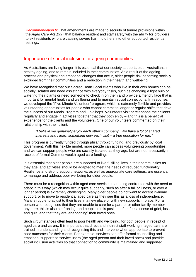*Recommendation 9:* That amendments are made to security of tenure provisions within the *Aged Care Act 1997* that balance resident and staff safety with the ability for providers to exit residents who are causing severe harm to others into other supported residential settings.

### <span id="page-11-0"></span>Importance of social inclusion for ageing communities

As Australians are living longer, it is essential that our society supports older Australians in healthy ageing, and to remain included in their communities. As a result of the ageing process and physical and emotional changes that occur, older people risk becoming socially excluded from their communities and a reduction in their health and wellbeing.

We have recognised that our Sacred Heart Local clients who live in their own homes can be socially isolated and need assistance with everyday tasks, such as changing a light bulb or watering their plants or need someone to check in on them and provide a friendly face that is important for mental health and wellbeing and to maintain social connections. In response, we developed the "Five Minute Volunteer" program, which is extremely flexible and provides volunteering opportunities for people who cannot commit to longer or regular shifts that drive the success of our Meals Program and Op-Shops. Volunteers visit or telephone their clients regularly and engage in activities together that they both enjoy – and this is a beneficial experience for the clients and the volunteers. One of our volunteers commented on their relationship with their client:

#### *"I believe we genuinely enjoy each other's company. We have a lot of shared interests and I learn something new each visit – a true education for me."*

This program is currently funded through philanthropic funding, and previously by local government. With this flexible model, more people can access volunteering opportunities, and we can support people who are socially isolated as they age; but are not necessarily in receipt of formal Commonwealth aged care funding.

It is essential that older people are supported to live fulfilling lives in their communities as they age, and activities should be adapted to meet the needs of reduced functionality. Resilience and strong support networks, as well as appropriate care settings, are essential to manage and address poor wellbeing for older people.

There must be a recognition within aged care services that being confronted with the need to adapt in this way (which may occur quite suddenly, such as after a fall or illness, or over a longer period) is extremely challenging. Many older people do not want to accept in-home support, or to move to residential aged care as they see this as a loss of independence. Many struggle to adjust to their lives in a new place or with new supports in place. For a person who recognises that they are unable to care for a partner or other family member anymore, this is also confronting, and people in this position often feel a sense of grief, loss and guilt, and that they are 'abandoning' their loved ones.

Such circumstances often lead to poor health and wellbeing, for both people in receipt of aged care and carers. It is important that direct and indirect staff working in aged care are trained in understanding and recognising this and intervene when appropriate to prevent poor outcomes for their clients. For example, services can offer formal counselling and emotional supports to service users (the aged person and their loved ones) and provide social inclusion activities so that connection to community is maintained and supported.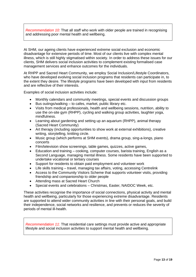*Recommendation 10:* That all staff who work with older people are trained in recognising and addressing poor mental health and wellbeing.

At SHM, our ageing clients have experienced extreme social exclusion and economic disadvantage for extensive periods of time. Most of our clients live with complex mental illness, which is still highly stigmatised within society. In order to address these issues for our clients, SHM delivers social inclusion activities to complement existing formalised case management services and enhance outcomes for the individuals.

At RHPP and Sacred Heart Community, we employ Social Inclusion/Lifestyle Coordinators, who have developed evolving social inclusion programs that residents can participate in, to the extent they desire. The lifestyle programs have been developed with input from residents and are reflective of their interests.

Examples of social inclusion activities include:

- Monthly calendars and community meetings, special events and discussion groups
- Bus outings/walking to cafes, market, public library etc.
- Visits from medical professionals, health and wellbeing sessions, nutrition, ability to use the on-site gym (RHPP), cycling and walking group activities, laughter yoga, mindfulness.
- Learning about gardening and setting up an aquarium (RHPP), animal therapy (Sacred Heart Community)
- Art therapy (including opportunities to show work at external exhibitions), creative writing, storytelling, knitting circle.
- Music group (which performs at SHM events), drama group, sing-a-longs, piano concerts
- Film/television show screenings, table games, quizzes, active games,
- Education and training cooking, computer courses, barista training, English as a Second Language, managing mental illness. Some residents have been supported to undertake vocational or tertiary courses
- Support for residents to obtain paid employment and volunteer work
- Life skills training travel, managing tax affairs, voting, accessing Centrelink
- Access to the Community Visitors Scheme that supports volunteer visits, providing friendship and companionship to older people
- Attending mass at Sacred Heart Church
- Special events and celebrations Christmas, Easter, NAIDOC Week, etc.

These activities recognise the importance of social connections, physical activity and mental health and wellbeing, particularly for those experiencing extreme disadvantage. Residents are supported to attend wider community activities in line with their personal goals, and build their independence, social networks and resilience, and prevents or reduces the severity of periods of mental ill-health.

*Recommendation 11*: That residential care settings must provide active and appropriate lifestyle and social inclusion activities to support mental health and wellbeing.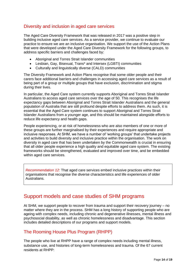### <span id="page-13-0"></span>Diversity and inclusion in aged care services

The Aged Care Diversity Framework that was released in 2017 was a positive step in building inclusive aged care services. As a service provider, we continue to evaluate our practice to ensure we are an inclusive organisation. We support the use of the Action Plans that were developed under the Aged Care Diversity Framework for the following groups, to address specific barriers and challenges faced by:

- Aboriginal and Torres Strait Islander communities
- Lesbian, Gay, Bisexual, Trans\* and Intersex (LGBTI) communities
- Culturally and linguistically diverse (CALD) communities

The Diversity Framework and Action Plans recognise that some older people and their carers face additional barriers and challenges in accessing aged care services as a result of being part of a group or multiple groups that have exclusion, discrimination and stigma during their lives.

In particular, the Aged Care system currently supports Aboriginal and Torres Strait Islander Australians to access aged care services over the age of 50. This recognises the life expectancy gaps between Aboriginal and Torres Strait Islander Australians and the general population of Australia that are still profound despite efforts to address them. As such, it is essential that the Aged Care system continues to support Aboriginal and Torres Strait Islander Australians from a younger age, and this should be maintained alongside efforts to reduce life expectancy and health gaps.

People experiencing, or at risk of homelessness who are also members of one or more of these groups are further marginalised by their experiences and require appropriate and inclusive responses. At SHM, we have a number of 'working groups' that undertake projects and activities to build diversity and inclusive practice within the organisation. The work on diversity in aged care that has been undertaken by the Commonwealth is crucial in ensuring that all older people experience a high quality and equitable aged care system. The existing frameworks should be strengthened, evaluated and improved over time, and be embedded within aged care services.

*Recommendation 12*: That aged care services embed inclusive practices within their organisations that recognise the diverse characteristics and life experiences of older Australians.

# <span id="page-13-1"></span>Support models and case studies of SHM programs

At SHM, we support people to recover from trauma and support their recovery journey – no matter where they are in the process. SHM has a long history of supporting people who are ageing with complex needs, including chronic and degenerative illnesses, mental illness and psychosocial disability, as well as chronic homelessness and disadvantage. This section includes detailed descriptions of our programs and support models.

# <span id="page-13-2"></span>The Rooming House Plus Program (RHPP)

The people who live at RHPP have a range of complex needs including mental illness, substance use, and histories of long-term homelessness and trauma. Of the 67 current residents at RHPP: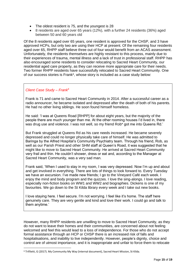- The oldest resident is 75, and the youngest is 28
- 8 residents are aged over 65 years (12%), with a further 24 residents (36%) aged between 50 and 60 years old

Of the 8 residents aged over 65 years, one resident is approved for the CHSP, and 3 have approved HCPs, but only two are using their HCP at present. Of the remaining four residents aged over 65, RHPP staff believe three out of four would benefit from an ACAS assessment. Unfortunately, the residents themselves are highly resistant to this process, mainly due to their experiences of trauma, mental illness and a lack of trust in professional staff. RHPP has also encouraged some residents to consider relocating to Sacred Heart Community, our residential aged care property, as they can receive more appropriate care for their needs. Two former RHPP residents have successfully relocated to Sacred Heart Community. One of our success stories is Frank\*, whose story is included as a case study below:

#### *Client Case Study – Frank<sup>6</sup>*

Frank is 71 and came to Sacred Heart Community in 2014. After a successful career as a radio announcer, he became isolated and depressed after the death of both of his parents. He had no other living siblings. He soon found himself homeless.

He said: 'I was at Queens Road [RHPP] for about eight years, but the majority of the people there are much younger than me. At the other rooming houses I'd lived in, there was drug use and violence. I was not well, so my friend Rob\* got me into Queens Rd.'

But Frank struggled at Queens Rd as his care needs increased. He became severely depressed and could no longer physically take care of himself. He was admitted to Baringa by the Alfred Hospital's Community Psychiatry team. Through his friend, Rob, as well as our Parish Priest and other SHM staff at Queen's Road, it was suggested that he might like to move to Sacred Heart Community. He arrived at Sacred Heart Community very frail and thin. He couldn't shower, dress or eat and, according to the Manager at Sacred Heart Community, was a very sad man.

Frank said, 'When I used to stay in my room, I was very depressed. Now I'm up and about and get involved in everything. There are lots of things to look forward to. Every Tuesday we have an excursion. I've made new friends; I go to the Vineyard Café each week. I enjoy the mind and body program and the quizzes. I love the sing-alongs. I love reading, especially non-fiction books on WW1 and WW2 and biographies. Dickens is one of my favourites. We go down to the St Kilda library every week and I take out new books.

I love staying here. I feel secure. I'm not worrying. I feel like it's home. The staff here genuinely care. They are very gentle and kind and love their work. I could go and talk to them anytime.'

However, many RHPP residents are unwilling to move to Sacred Heart Community, as they do not want to leave their homes and their communities, are concerned about not feeling welcomed and feel this would lead to a loss of independence. For those who do not accept formal assistance through an HCP or CHSP there is an increased risk of falls and hospitalisations, and inability to live independently. However, people's dignity, choice and control are of utmost importance, and it is inappropriate and unfair to force them to relocate

<sup>6</sup> Trifiletti, G (2017). My Community My Way (internal document), Sacred Heart Mission, St Kilda.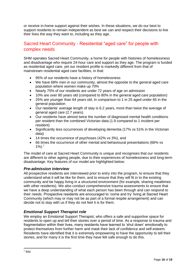or receive in-home support against their wishes. In these situations, we do our best to support residents to remain independent as best we can and respect their decisions to live their lives the way they want to, including as they age.

# <span id="page-15-0"></span>Sacred Heart Community - Residential "aged care" for people with complex needs

SHM operates Sacred Heart Community, a home for people with histories of homelessness and disadvantage who require 24-hour care and support as they age. The program is funded as residential aged care, yet our resident profile is markedly different from that of mainstream residential aged care facilities, in that:

- 95% of our residents have a history of homelessness
- We have 68% men in our community, almost the opposite to the general aged care population where women make up 70%
- Nearly 75% of our residents are under 72 years of age on admission
- 10% are over 80 years old (compared to 80% in the general aged care population)
- 25% are younger than 64 years old, in comparison to 1 in 25 aged under 65 in the general population
- Our residents' average length of stay is 6.2 years, more than twice the average of general aged care (2.7 years).
- Our residents have almost twice the number of diagnosed mental health conditions per resident than the combined Victorian data (1.9 compared to 1 incident per resident)
- Significantly less occurrences of developing dementia (17% vs 51% in the Victorian data)
- 14 times the occurrence of psychoses (42% vs 3%), and
- 66 times the occurrence of other mental and behavioural presentations (66% vs  $1\%$ ).<sup>7</sup>

The model of care at Sacred Heart Community is unique and recognises that our residents are different to other ageing people, due to their experiences of homelessness and long-term disadvantage. Key features of our model are highlighted below:

### <span id="page-15-1"></span>*Pre-admission interview*

All prospective residents are interviewed prior to entry into the program, to ensure that they understand what it will be like for them, and to ensure that they will fit in to the existing community and be happy living in a structured environment (for example, sharing mealtimes with other residents). We also conduct comprehensive trauma assessments to ensure that we have a deep understanding of what each person has been through and can respond to their needs. Prospective residents are encouraged to 'come and try' living at Sacred Heart Community (which may or may not be as part of a formal respite arrangement) and can decide not to stay with us if they do not feel it is for them.

### <span id="page-15-2"></span>*Emotional Support Therapist role*

We employ an Emotional Support Therapist, who offers a safe and supportive space for residents to open up and tell their stories over a period of time. As a response to trauma and fragmentation within their lives, many residents have learned to 'shut down' emotionally to protect themselves from further harm and mask their lack of confidence and self-esteem. Residents have identified that it is extremely empowering to have the opportunity to tell their stories, and for many it is the first time they have felt safe enough to do this.

7 Ibid.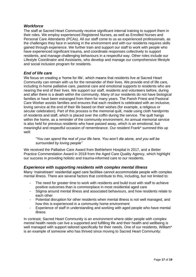#### <span id="page-16-0"></span>*Workforce*

The staff at Sacred Heart Community receive significant internal training to support them in their roles. We employ experienced Registered Nurses, as well as Enrolled Nurses and Personal Care Attendants (PCAs). All our staff come to us as experienced professionals, as the challenges they face in working in the environment and with our residents requires skills gained through experience. We further train and support our staff to work with people who have experienced significant trauma, and coordinate responses collectively to support residents, and manage challenging behaviours in a respectful way. Other roles include our Lifestyle Coordinator and Assistants, who develop and manage our comprehensive lifestyle and social inclusion program for residents.

### <span id="page-16-1"></span>*End of life care*

We focus on creating a 'home for life', which means that residents live at Sacred Heart Community can remain with us for the remainder of their lives. We provide end of life care, including in-home palliative care, pastoral care and emotional supports to residents who are nearing the end of their lives. We support our staff, residents and volunteers before, during and after there is a death within the community. Many of our residents do not have biological families or have been estranged from them for many years. The Parish Priest and Pastoral Care Worker assists families and ensures that each resident is celebrated with an inclusive, loving service at the end of their life based on their wishes (for example, a religious or secular celebration). Part of this process is the memorial quilt, made using cloth handprints of residents and staff, which is placed over the coffin during the service. The quilt hangs within the home, as a reminder of the community environment. An annual memorial service is also held for previous residents who have passed away, which is an emotional, but meaningful and respectful occasion of remembrance. Our resident Frank\* summed this up well:

*"You can spend the rest of your life here. You won't die alone, and you will be surrounded by loving people"*

We received the Palliative Care Award from Bethlehem Hospital in 2017, and a Better Practice Commendation Award in 2018 from the Aged Care Quality Agency, which highlight our success in providing holistic and trauma-informed care to our residents.

#### <span id="page-16-2"></span>*Experience with supporting residents with complex mental illness*

Many 'mainstream' residential aged care facilities cannot accommodate people with complex mental illness. There are several factors that contribute to this, including, but not limited to:

- The need for greater time to work with residents and build trust with staff to achieve positive outcomes than is commonplace in most residential aged care
- Stigma around mental illness and associated behaviours, and how residents relate to each other
- Potential disruption for other residents when mental illness is not well managed, and how this is experienced in a community home environment
- Experience of staff in understanding and working with aged people who have mental illness

In contrast, Sacred Heart Community is an environment where older people with complex mental health needs can live a supported and fulfilling life and their health and wellbeing is well managed with support tailored specifically for their needs. One of our residents, William\* is an example of someone who has thrived since moving to Sacred Heart Community: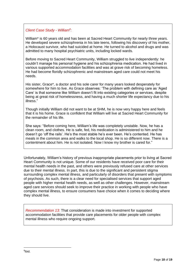### *Client Case Study - William<sup>8</sup> :*

William\* is 60 years old and has been at Sacred Heart Community for nearly three years. He developed severe schizophrenia in his late teens, following his discovery of his mother, a Holocaust survivor, who had suicided at home. He turned to alcohol and drugs and was admitted to many hospital psychiatric units, including locked wards.

Before moving to Sacred Heart Community, William struggled to live independently: he couldn't manage his personal hygiene and his schizophrenia medication. He had lived in various supported accommodation facilities and was at grave risk of becoming homeless. He had become floridly schizophrenic and mainstream aged care could not meet his needs.

His sister, Grace\*, a doctor and his sole carer for many years looked desperately for somewhere for him to live. As Grace observes: 'The problem with defining care as 'Aged Care' is that someone like William doesn't fit into existing categories or services, despite being at great risk of homelessness, and having a much shorter life expectancy due to his illness."

Though initially William did not want to be at SHM, he is now very happy here and feels that it is his home. Grace is confident that William will live at Sacred Heart Community for the remainder of his life.

She says: "Before coming here, William's life was completely unstable. Now, he has a clean room, and clothes. He is safe, fed, his medication is administered to him and he doesn't go 'off the rails'. He's the most stable he's ever been. He's contented. He has meals in the common area and walks to the local shop. He is so different now. There is a contentment about him. He is not isolated. Now I know my brother is cared for."

Unfortunately, William's history of previous inappropriate placements prior to living at Sacred Heart Community is not unique. Some of our residents have received poor care for their mental health needs in the past, and others were previously refused care at other services due to their mental illness. In part, this is due to the significant and persistent stigma surrounding complex mental illness, and particularly of disorders that present with symptoms of psychosis. As such, there is a clear need for specialised services that support aged people with higher mental health needs, as well as other challenges. However, mainstream aged care services should seek to improve their practice in working with people who have complex mental illness, to ensure consumers have choice when it comes to deciding where they should live.

*Recommendation 13:* That consideration is made into investment for supported accommodation facilities that provide care placements for older people with complex mental illness who require ongoing support.

<sup>8</sup> Ibid.